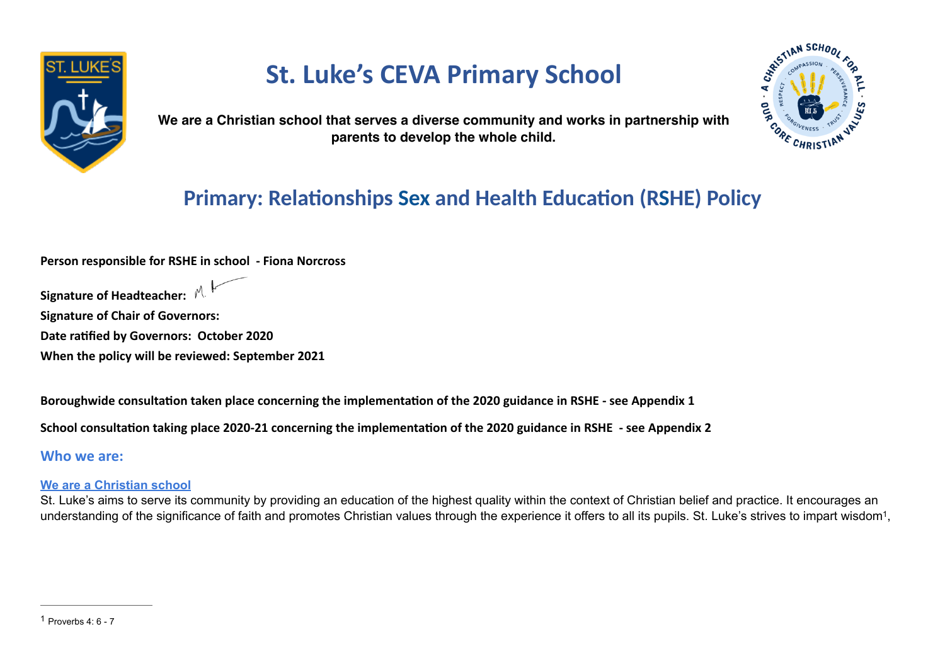

# **St. Luke's CEVA Primary School**

<span id="page-0-1"></span>

**We are a Christian school that serves a diverse community and works in partnership with parents to develop the whole child.**

## **Primary: Relationships Sex and Health Education (RSHE) Policy**

**Person responsible for RSHE in school - Fiona Norcross**

**Signature of Headteacher:** 

**Signature of Chair of Governors:**

**Date ratified by Governors: October 2020**

**When the policy will be reviewed: September 2021**

**Boroughwide consultation taken place concerning the implementation of the 2020 guidance in RSHE - see Appendix 1**

**School consultation taking place 2020-21 concerning the implementation of the 2020 guidance in RSHE - see Appendix 2**

**Who we are:**

#### **We are a Christian school**

<span id="page-0-0"></span>St. Luke's aims to serve its community by providing an education of the highest quality within the context of Christian belief and practice. It encourages an understanding of the significance of faith and promotes Christian values through the experience it offers to all its pupils. St. Luke's strives to impart wisdom<sup>[1](#page-0-0)</sup>,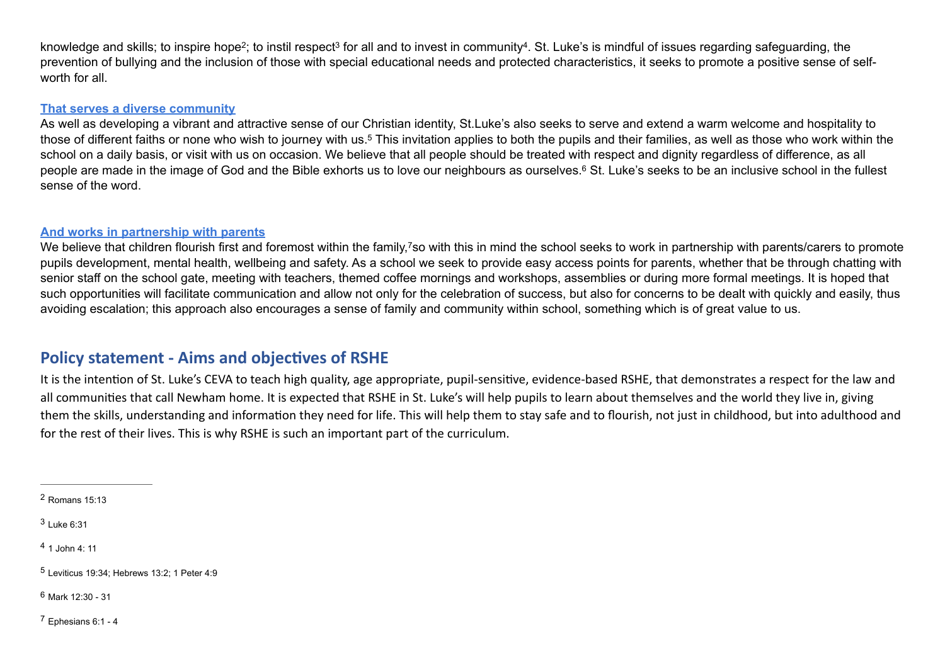<span id="page-1-8"></span><span id="page-1-7"></span><span id="page-1-6"></span>knowledgeand skills; to inspire hope<sup>[2](#page-1-0)</sup>; to instil respect<sup>3</sup> for all and to invest in community<sup>4</sup>. St. Luke's is mindful of issues regarding safeguarding, the prevention of bullying and the inclusion of those with special educational needs and protected characteristics, it seeks to promote a positive sense of selfworth for all

#### **That serves a diverse community**

<span id="page-1-9"></span>As well as developing a vibrant and attractive sense of our Christian identity, St.Luke's also seeks to serve and extend a warm welcome and hospitality to those of different faiths or none who wish to journey with us.<sup>[5](#page-1-3)</sup> This invitation applies to both the pupils and their families, as well as those who work within the school on a daily basis, or visit with us on occasion. We believe that all people should be treated with respect and dignity regardless of difference, as all people are made in the image of God and the Bible exhorts us to love our neighbours as ourselves.<sup>6</sup> St[.](#page-1-4) Luke's seeks to be an inclusive school in the fullest sense of the word.

#### <span id="page-1-11"></span><span id="page-1-10"></span>**And works in partnership with parents**

We believe that children flourish first and foremost within the family, owith this in mind the school seeks to work in partnership with parents/carers to promote pupils development, mental health, wellbeing and safety. As a school we seek to provide easy access points for parents, whether that be through chatting with senior staff on the school gate, meeting with teachers, themed coffee mornings and workshops, assemblies or during more formal meetings. It is hoped that such opportunities will facilitate communication and allow not only for the celebration of success, but also for concerns to be dealt with quickly and easily, thus avoiding escalation; this approach also encourages a sense of family and community within school, something which is of great value to us.

## **Policy statement - Aims and objectives of RSHE**

It is the intention of St. Luke's CEVA to teach high quality, age appropriate, pupil-sensitive, evidence-based RSHE, that demonstrates a respect for the law and all communities that call Newham home. It is expected that RSHE in St. Luke's will help pupils to learn about themselves and the world they live in, giving them the skills, understanding and information they need for life. This will help them to stay safe and to flourish, not just in childhood, but into adulthood and for the rest of their lives. This is why RSHE is such an important part of the curriculum.

<span id="page-1-0"></span> $2$  Romans 15:13

<span id="page-1-1"></span> $3$  Luke 6:31

<span id="page-1-2"></span> $41$  $41$ . John  $4:11$ 

<span id="page-1-3"></span> $5$  Leviticus 19:34; Hebrews 13:2; 1 Peter 4:9

<span id="page-1-4"></span> $6$  Mark 12:30 - 31

<span id="page-1-5"></span> $7$  Ephesians 6:1 - 4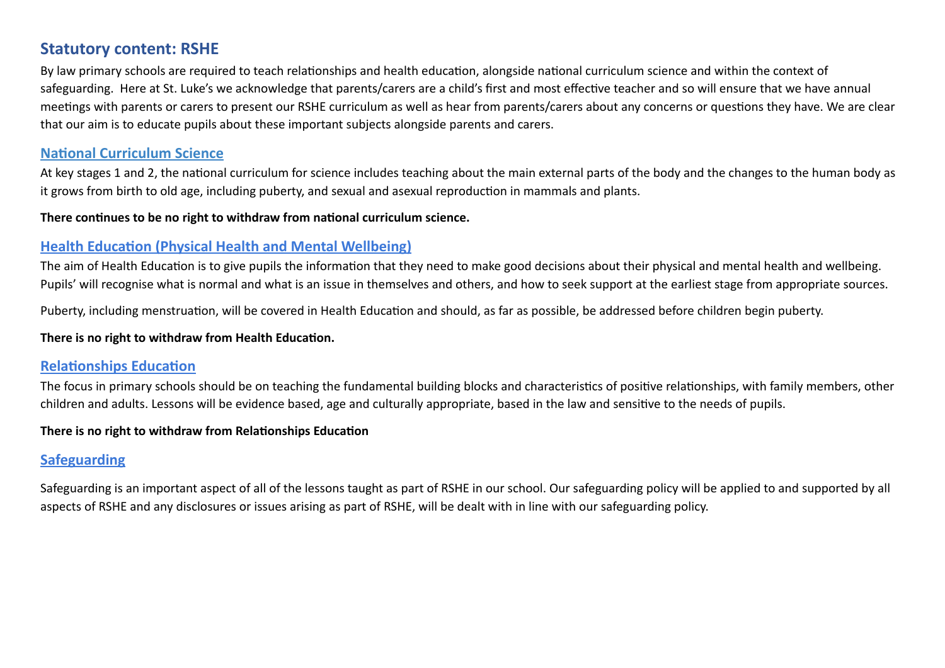## **Statutory content: RSHE**

By law primary schools are required to teach relationships and health education, alongside national curriculum science and within the context of safeguarding. Here at St. Luke's we acknowledge that parents/carers are a child's first and most effective teacher and so will ensure that we have annual meetings with parents or carers to present our RSHE curriculum as well as hear from parents/carers about any concerns or questions they have. We are clear that our aim is to educate pupils about these important subjects alongside parents and carers.

#### **National Curriculum Science**

At key stages 1 and 2, the national curriculum for science includes teaching about the main external parts of the body and the changes to the human body as it grows from birth to old age, including puberty, and sexual and asexual reproduction in mammals and plants.

**There continues to be no right to withdraw from national curriculum science.** 

#### **Health Education (Physical Health and Mental Wellbeing)**

The aim of Health Education is to give pupils the information that they need to make good decisions about their physical and mental health and wellbeing. Pupils' will recognise what is normal and what is an issue in themselves and others, and how to seek support at the earliest stage from appropriate sources.

Puberty, including menstruation, will be covered in Health Education and should, as far as possible, be addressed before children begin puberty.

#### **There is no right to withdraw from Health Education.**

#### **Relationships Education**

The focus in primary schools should be on teaching the fundamental building blocks and characteristics of positive relationships, with family members, other children and adults. Lessons will be evidence based, age and culturally appropriate, based in the law and sensitive to the needs of pupils.

#### **There is no right to withdraw from Relationships Education**

## **Safeguarding**

Safeguarding is an important aspect of all of the lessons taught as part of RSHE in our school. Our safeguarding policy will be applied to and supported by all aspects of RSHE and any disclosures or issues arising as part of RSHE, will be dealt with in line with our safeguarding policy.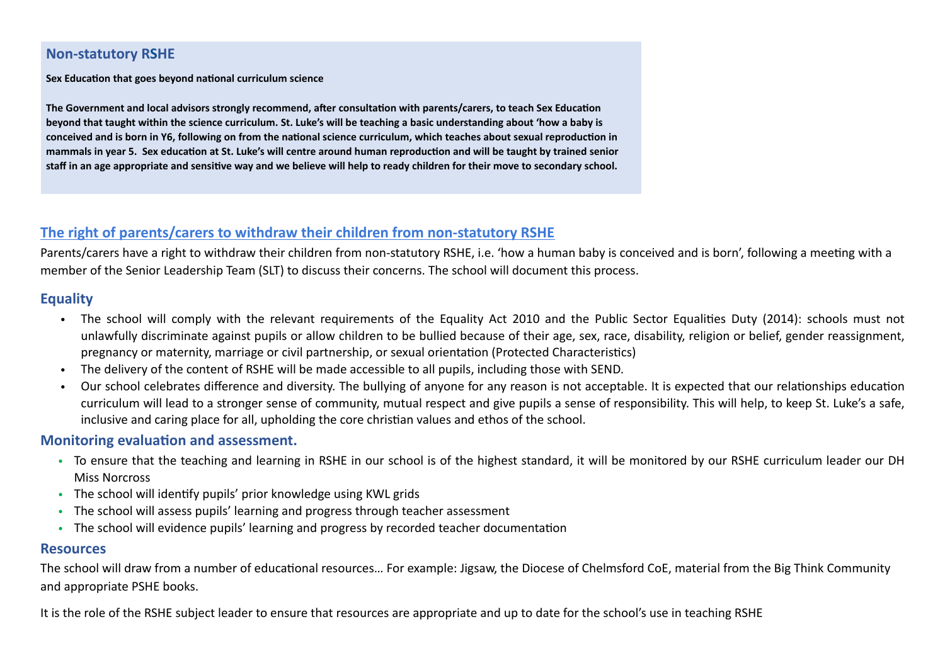#### **Non-statutory RSHE**

**Sex Education that goes beyond national curriculum science**

**The Government and local advisors strongly recommend, after consultation with parents/carers, to teach Sex Education beyond that taught within the science curriculum. St. Luke's will be teaching a basic understanding about 'how a baby is conceived and is born in Y6, following on from the national science curriculum, which teaches about sexual reproduction in mammals in year 5. Sex education at St. Luke's will centre around human reproduction and will be taught by trained senior staff in an age appropriate and sensitive way and we believe will help to ready children for their move to secondary school.** 

#### **The right of parents/carers to withdraw their children from non-statutory RSHE**

Parents/carers have a right to withdraw their children from non-statutory RSHE, i.e. 'how a human baby is conceived and is born', following a meeting with a member of the Senior Leadership Team (SLT) to discuss their concerns. The school will document this process.

#### **Equality**

- The school will comply with the relevant requirements of the Equality Act 2010 and the Public Sector Equalities Duty (2014): schools must not unlawfully discriminate against pupils or allow children to be bullied because of their age, sex, race, disability, religion or belief, gender reassignment, pregnancy or maternity, marriage or civil partnership, or sexual orientation (Protected Characteristics)
- The delivery of the content of RSHE will be made accessible to all pupils, including those with SEND.
- Our school celebrates difference and diversity. The bullying of anyone for any reason is not acceptable. It is expected that our relationships education curriculum will lead to a stronger sense of community, mutual respect and give pupils a sense of responsibility. This will help, to keep St. Luke's a safe, inclusive and caring place for all, upholding the core christian values and ethos of the school.

#### **Monitoring evaluation and assessment.**

- To ensure that the teaching and learning in RSHE in our school is of the highest standard, it will be monitored by our RSHE curriculum leader our DH Miss Norcross
- The school will identify pupils' prior knowledge using KWL grids
- The school will assess pupils' learning and progress through teacher assessment
- The school will evidence pupils' learning and progress by recorded teacher documentation

#### **Resources**

The school will draw from a number of educational resources… For example: Jigsaw, the Diocese of Chelmsford CoE, material from the Big Think Community and appropriate PSHE books.

It is the role of the RSHE subject leader to ensure that resources are appropriate and up to date for the school's use in teaching RSHE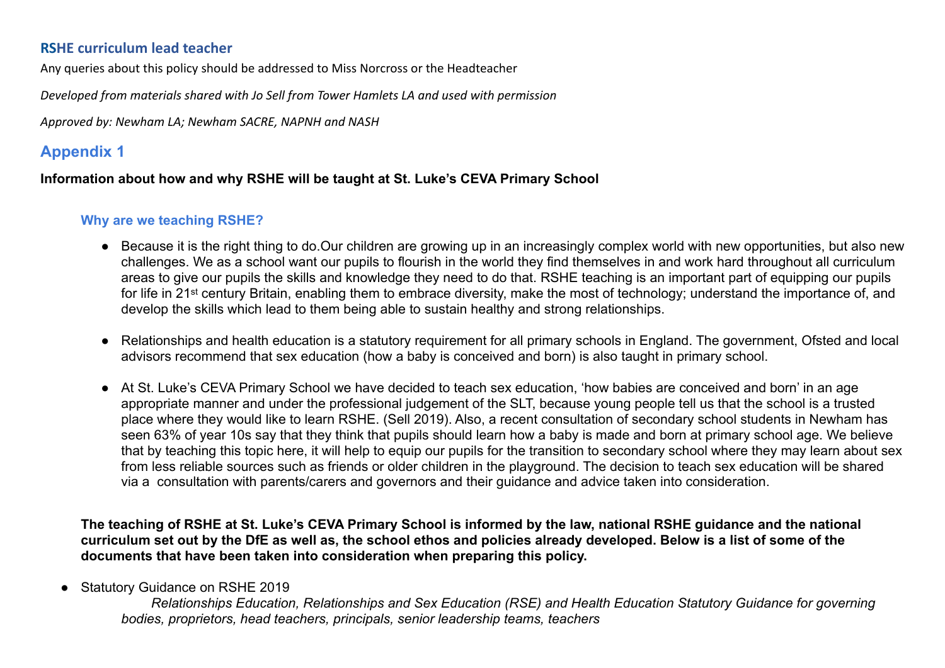#### **RSHE curriculum lead teacher**

Any queries about this policy should be addressed to Miss Norcross or the Headteacher

*Developed from materials shared with Jo Sell from Tower Hamlets LA and used with permission*

*Approved by: Newham LA; Newham SACRE, NAPNH and NASH*

## **Appendix 1**

#### **Information about how and why RSHE will be taught at St. Luke's CEVA Primary School**

#### **Why are we teaching RSHE?**

- Because it is the right thing to do.Our children are growing up in an increasingly complex world with new opportunities, but also new challenges. We as a school want our pupils to flourish in the world they find themselves in and work hard throughout all curriculum areas to give our pupils the skills and knowledge they need to do that. RSHE teaching is an important part of equipping our pupils for life in 21st century Britain, enabling them to embrace diversity, make the most of technology; understand the importance of, and develop the skills which lead to them being able to sustain healthy and strong relationships.
- Relationships and health education is a statutory requirement for all primary schools in England. The government, Ofsted and local advisors recommend that sex education (how a baby is conceived and born) is also taught in primary school.
- At St. Luke's CEVA Primary School we have decided to teach sex education, 'how babies are conceived and born' in an age appropriate manner and under the professional judgement of the SLT, because young people tell us that the school is a trusted place where they would like to learn RSHE. (Sell 2019). Also, a recent consultation of secondary school students in Newham has seen 63% of year 10s say that they think that pupils should learn how a baby is made and born at primary school age. We believe that by teaching this topic here, it will help to equip our pupils for the transition to secondary school where they may learn about sex from less reliable sources such as friends or older children in the playground. The decision to teach sex education will be shared via a consultation with parents/carers and governors and their guidance and advice taken into consideration.

**The teaching of RSHE at St. Luke's CEVA Primary School is informed by the law, national RSHE guidance and the national curriculum set out by the DfE as well as, the school ethos and policies already developed. Below is a list of some of the documents that have been taken into consideration when preparing this policy.** 

● Statutory Guidance on RSHE 2019

 *Relationships Education, Relationships and Sex Education (RSE) and Health Education Statutory Guidance for governing bodies, proprietors, head teachers, principals, senior leadership teams, teachers*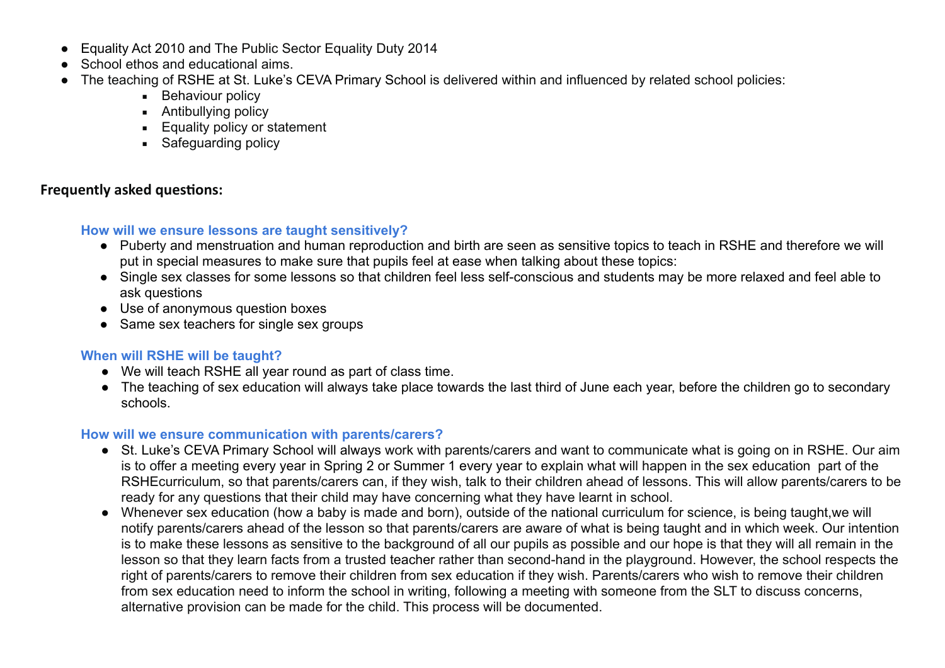- Equality Act 2010 and The Public Sector Equality Duty 2014
- School ethos and educational aims.
- The teaching of RSHE at St. Luke's CEVA Primary School is delivered within and influenced by related school policies:
	- **Behaviour policy**
	- Antibullying policy
	- **Equality policy or statement**
	- **Safeguarding policy**

#### **Frequently asked questions:**

#### **How will we ensure lessons are taught sensitively?**

- Puberty and menstruation and human reproduction and birth are seen as sensitive topics to teach in RSHE and therefore we will put in special measures to make sure that pupils feel at ease when talking about these topics:
- Single sex classes for some lessons so that children feel less self-conscious and students may be more relaxed and feel able to ask questions
- Use of anonymous question boxes
- Same sex teachers for single sex groups

#### **When will RSHE will be taught?**

- We will teach RSHE all year round as part of class time.
- The teaching of sex education will always take place towards the last third of June each year, before the children go to secondary schools.

#### **How will we ensure communication with parents/carers?**

- St. Luke's CEVA Primary School will always work with parents/carers and want to communicate what is going on in RSHE. Our aim is to offer a meeting every year in Spring 2 or Summer 1 every year to explain what will happen in the sex education part of the RSHEcurriculum, so that parents/carers can, if they wish, talk to their children ahead of lessons. This will allow parents/carers to be ready for any questions that their child may have concerning what they have learnt in school.
- Whenever sex education (how a baby is made and born), outside of the national curriculum for science, is being taught,we will notify parents/carers ahead of the lesson so that parents/carers are aware of what is being taught and in which week. Our intention is to make these lessons as sensitive to the background of all our pupils as possible and our hope is that they will all remain in the lesson so that they learn facts from a trusted teacher rather than second-hand in the playground. However, the school respects the right of parents/carers to remove their children from sex education if they wish. Parents/carers who wish to remove their children from sex education need to inform the school in writing, following a meeting with someone from the SLT to discuss concerns, alternative provision can be made for the child. This process will be documented.